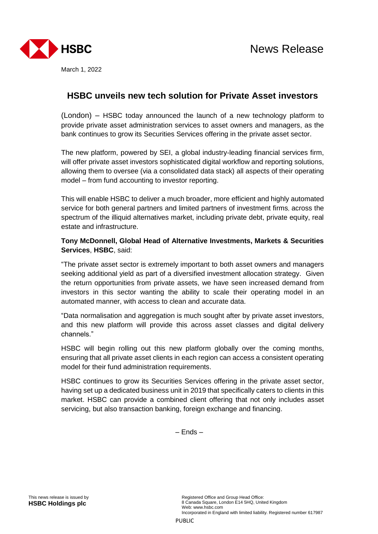

March 1, 2022

# **HSBC unveils new tech solution for Private Asset investors**

(London) – HSBC today announced the launch of a new technology platform to provide private asset administration services to asset owners and managers, as the bank continues to grow its Securities Services offering in the private asset sector.

The new platform, powered by SEI, a global industry-leading financial services firm, will offer private asset investors sophisticated digital workflow and reporting solutions, allowing them to oversee (via a consolidated data stack) all aspects of their operating model – from fund accounting to investor reporting.

This will enable HSBC to deliver a much broader, more efficient and highly automated service for both general partners and limited partners of investment firms, across the spectrum of the illiquid alternatives market, including private debt, private equity, real estate and infrastructure.

## **Tony McDonnell, Global Head of Alternative Investments, Markets & Securities Services**, **HSBC**, said:

"The private asset sector is extremely important to both asset owners and managers seeking additional yield as part of a diversified investment allocation strategy. Given the return opportunities from private assets, we have seen increased demand from investors in this sector wanting the ability to scale their operating model in an automated manner, with access to clean and accurate data.

"Data normalisation and aggregation is much sought after by private asset investors, and this new platform will provide this across asset classes and digital delivery channels."

HSBC will begin rolling out this new platform globally over the coming months, ensuring that all private asset clients in each region can access a consistent operating model for their fund administration requirements.

HSBC continues to grow its Securities Services offering in the private asset sector, having set up a dedicated business unit in 2019 that specifically caters to clients in this market. HSBC can provide a combined client offering that not only includes asset servicing, but also transaction banking, foreign exchange and financing.

– Ends –